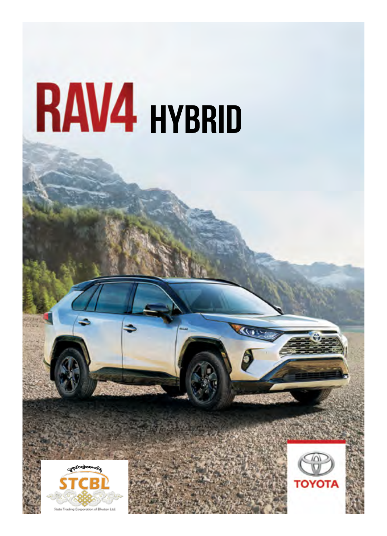





Kun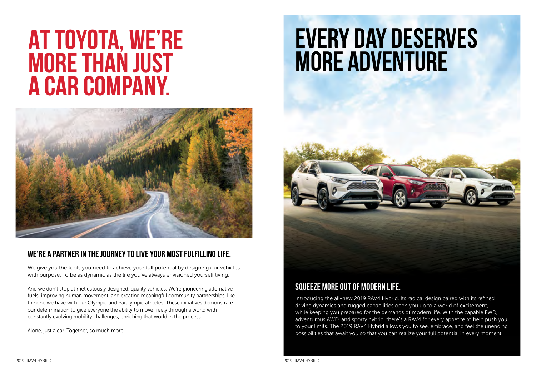## **more adventure AT TOYOTA, WE'RE MORE THAN JUST A CAR COMPANY.**



## **WE'RE A PARTNER IN THE JOURNEY TO LIVE YOUR MOST FULFILLING LIFE.**

We give you the tools you need to achieve your full potential by designing our vehicles with purpose. To be as dynamic as the life you've always envisioned yourself living.

And we don't stop at meticulously designed, quality vehicles. We're pioneering alternative fuels, improving human movement, and creating meaningful community partnerships, like the one we have with our Olympic and Paralympic athletes. These initiatives demonstrate our determination to give everyone the ability to move freely through a world with constantly evolving mobility challenges, enriching that world in the process.

Alone, just a car. Together, so much more

## **EVERY DAY DESERVES**<br>MORE ADVENTURE



## **SQUEEZE MORE OUT OF MODERN LIFE.**

Introducing the all-new 2019 RAV4 Hybrid. Its radical design paired with its refined driving dynamics and rugged capabilities open you up to a world of excitement, while keeping you prepared for the demands of modern life. With the capable FWD, adventurous AWD, and sporty hybrid, there's a RAV4 for every appetite to help push you to your limits. The 2019 RAV4 Hybrid allows you to see, embrace, and feel the unending possibilities that await you so that you can realize your full potential in every moment.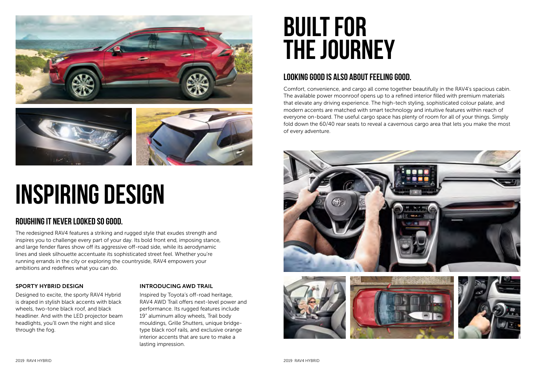



## **INSPIRING DESIGN**

## **ROUGHING IT NEVER LOOKED SO GOOD.**

The redesigned RAV4 features a striking and rugged style that exudes strength and inspires you to challenge every part of your day. Its bold front end, imposing stance, and large fender flares show off its aggressive off-road side, while its aerodynamic lines and sleek silhouette accentuate its sophisticated street feel. Whether you're running errands in the city or exploring the countryside, RAV4 empowers your ambitions and redefines what you can do.

## SPORTY HYBRID DESIGN

Designed to excite, the sporty RAV4 Hybrid is draped in stylish black accents with black wheels, two-tone black roof, and black headliner. And with the LED projector beam headlights, you'll own the night and slice through the fog.

## INTRODUCING AWD TRAIL

Inspired by Toyota's off-road heritage, RAV4 AWD Trail offers next-level power and performance. Its rugged features include 19" aluminum alloy wheels, Trail body mouldings, Grille Shutters, unique bridgetype black roof rails, and exclusive orange interior accents that are sure to make a lasting impression.

## **BUILT FOR THE JOURNEY**

## **LOOKING GOOD IS ALSO ABOUT FEELING GOOD.**

Comfort, convenience, and cargo all come together beautifully in the RAV4's spacious cabin. The available power moonroof opens up to a refined interior filled with premium materials that elevate any driving experience. The high-tech styling, sophisticated colour palate, and modern accents are matched with smart technology and intuitive features within reach of everyone on-board. The useful cargo space has plenty of room for all of your things. Simply fold down the 60/40 rear seats to reveal a cavernous cargo area that lets you make the most of every adventure.

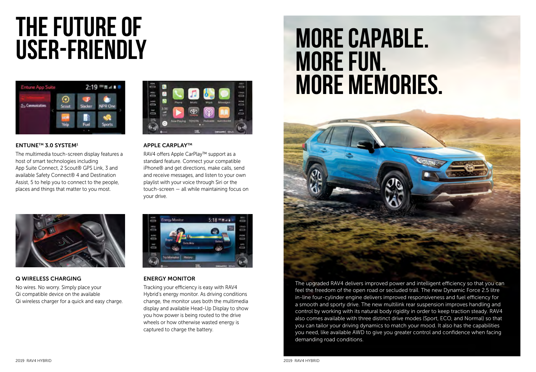# **THE FUTURE OF**



## ENTUNETM 3.0 SYSTEM1

The multimedia touch-screen display features a host of smart technologies including App Suite Connect, 2 Scout® GPS Link, 3 and available Safety Connect® 4 and Destination Assist, 5 to help you to connect to the people, places and things that matter to you most.



## **APPLE CARPLAY™**

RAV4 offers Apple CarPlay™ support as a standard feature. Connect your compatible iPhone® and get directions, make calls, send and receive messages, and listen to your own playlist with your voice through Siri or the touch-screen — all while maintaining focus on your drive.



## Q WIRELESS CHARGING

No wires. No worry. Simply place your Qi compatible device on the available Qi wireless charger for a quick and easy charge.



## ENERGY MONITOR

Tracking your efficiency is easy with RAV4 Hybrid's energy monitor. As driving conditions change, the monitor uses both the multimedia display and available Head-Up Display to show you how power is being routed to the drive wheels or how otherwise wasted energy is captured to charge the battery.

## **MORE CAPABLE. MORE FUN. MORE MEMORIES.**



The upgraded RAV4 delivers improved power and intelligent efficiency so that you can feel the freedom of the open road or secluded trail. The new Dynamic Force 2.5 litre in-line four-cylinder engine delivers improved responsiveness and fuel efficiency for a smooth and sporty drive. The new multilink rear suspension improves handling and control by working with its natural body rigidity in order to keep traction steady. RAV4 also comes available with three distinct drive modes (Sport, ECO, and Normal) so that you can tailor your driving dynamics to match your mood. It also has the capabilities you need, like available AWD to give you greater control and confidence when facing demanding road conditions.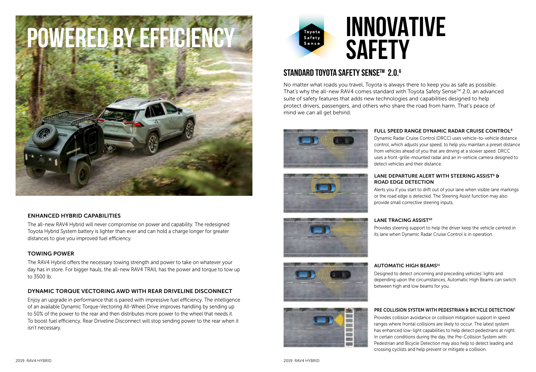

## ENHANCED HYBRID CAPABILITIES

The all-new RAV4 Hybrid will never compromise on power and capability. The redesigned Toyota Hybrid System battery is lighter than ever and can hold a charge longer for greater distances to give you improved fuel efficiency.

## TOWING POWER

The RAV4 Hybrid offers the necessary towing strength and power to take on whatever your day has in store. For bigger hauls, the all-new RAV4 TRAIL has the power and torque to tow up to 3500 lb.

## DYNAMIC TORQUE VECTORING AWD WITH REAR DRIVELINE DISCONNECT

Enjoy an upgrade in performance that is paired with impressive fuel efficiency. The intelligence of an available Dynamic Torque-Vectoring All-Wheel Drive improves handling by sending up to 50% of the power to the rear and then distributes more power to the wheel that needs it. To boost fuel efficiency, Rear Driveline Disconnect will stop sending power to the rear when it isn't necessary.



## **STANDARD TOYOTA SAFETY SENSETM 2.0. 6**

No matter what roads you travel, Toyota is always there to keep you as safe as possible. That's why the all-new RAV4 comes standard with Toyota Safety Sense $^\text{\tiny TM}$  2.0, an advanced suite of safety features that adds new technologies and capabilities designed to help protect drivers, passengers, and others who share the road from harm. That's peace of mind we can all get behind.











## FULL SPEED RANGE DYNAMIC RADAR CRUISE CONTROL<sup>8</sup>

Dynamic Radar Cruise Control (DRCC) uses vehicle-to-vehicle distance control, which adjusts your speed, to help you maintain a preset distance from vehicles ahead of you that are driving at a slower speed. DRCC uses a front-grille-mounted radar and an in-vehicle camera designed to detect vehicles and their distance.

### LANE DEPARTURE ALERT WITH STEERING ASSIST<sup>9</sup> & ROAD EDGE DETECTION ISSUE OUT OUT OF YOUR LANE WHEN VISIBLE OUT OF YOUR LANE MARKINGS ISSUES ON A VISIBLE OUT

Alerts you if you start to drift out of your lane when visible lane markings or the road edge is detected. The Steering Assist function may also provide small corrective steering inputs.

## $\mathsf{LANE}$  TRACING ASSIST $^\mathsf{10}$

Provides steering support to help the driver keep the vehicle centred in its lane when Dynamic Radar Cruise Control is in operation.

## AUTOMATIC HIGH BEAMS<sup>11</sup>

Designed to detect oncoming and preceding vehicles' lights and between high and low beams for you. depending upon the circumstances, Automatic High Beams can switch between high and low beams for you.

## PRE COLLISION SYSTEM WITH PEDESTRIAN & BICYCLE DETECTION<sup>7</sup>

Provides collision avoidance or collision mitigation support in speed ranges where frontal collisions are likely to occur. The latest system ranges more nontal collisions are linely to cocall moral accordycion.<br>has enhanced low-light capabilities to help detect pedestrians at night. In certain conditions during the day, the Pre-Collision System with<br>In certain conditions during the day, the Pre-Collision System with crossing cyclists and help prevent or mitigate a collision. Pedestrian and Bicycle Detection may also help to detect leading and crossing cyclists and help prevent or mitigate a collision.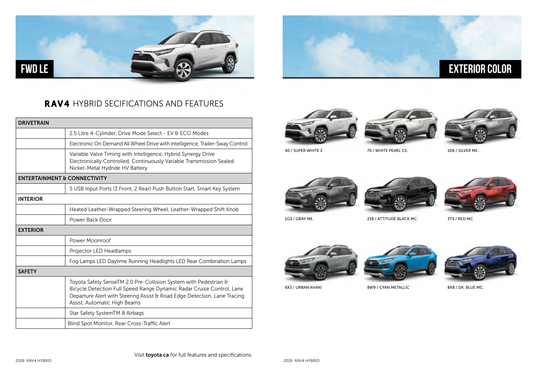

## RAV4 HYBRID SECIFICATIONS AND FEATURES

| <b>DRIVETRAIN</b>                       |                                                                                                                                                                                                                                                       |
|-----------------------------------------|-------------------------------------------------------------------------------------------------------------------------------------------------------------------------------------------------------------------------------------------------------|
|                                         | 2.5 Litre 4-Cylinder, Drive Mode Select - EV & ECO Modes                                                                                                                                                                                              |
|                                         | Electronic On Demand All Wheel Drive with intelligence, Trailer-Sway Control                                                                                                                                                                          |
|                                         | Variable Valve Timing with Intelligence, Hybrid Synergy Drive<br>Electronically Controlled, Continuously Variable Transmission Sealed<br>Nickel-Metal Hydride HV Battery                                                                              |
| <b>ENTERTAINMENT &amp; CONNECTIVITY</b> |                                                                                                                                                                                                                                                       |
|                                         | 5 USB Input Ports (3 Front, 2 Rear) Push Button Start, Smart Key System                                                                                                                                                                               |
| <b>INTERIOR</b>                         |                                                                                                                                                                                                                                                       |
|                                         | Heated Leather-Wrapped Steering Wheel, Leather-Wrapped Shift Knob                                                                                                                                                                                     |
|                                         | Power Back Door                                                                                                                                                                                                                                       |
| <b>EXTERIOR</b>                         |                                                                                                                                                                                                                                                       |
|                                         | Power Moonroof                                                                                                                                                                                                                                        |
|                                         | Projector LED Headlamps                                                                                                                                                                                                                               |
|                                         | Fog Lamps LED Daytime Running Headlights LED Rear Combination Lamps                                                                                                                                                                                   |
| <b>SAFETY</b>                           |                                                                                                                                                                                                                                                       |
|                                         | Toyota Safety SenseTM 2.0 Pre-Collision System with Pedestrian &<br>Bicycle Detection Full Speed Range Dynamic Radar Cruise Control, Lane<br>Departure Alert with Steering Assist & Road Edge Detection, Lane Tracing<br>Assist, Automatic High Beams |
|                                         | Star Safety SystemTM 8 Airbags                                                                                                                                                                                                                        |
|                                         | Blind Spot Monitor, Rear Cross-Traffic Alert                                                                                                                                                                                                          |







**EXTERIOR COLOR**

40 / SUPER WHITE 2 70 / WHITE PEARL CS. 1D6 / SILVER ME.







1G3 / GRAY ME. 218 / ATTITUDE BLACK MC. 3T3 / RED MC.







6X3 / URBAN KHAKI 8W9 / CYAN METALLIC 8X8 / DK. BLUE MC.